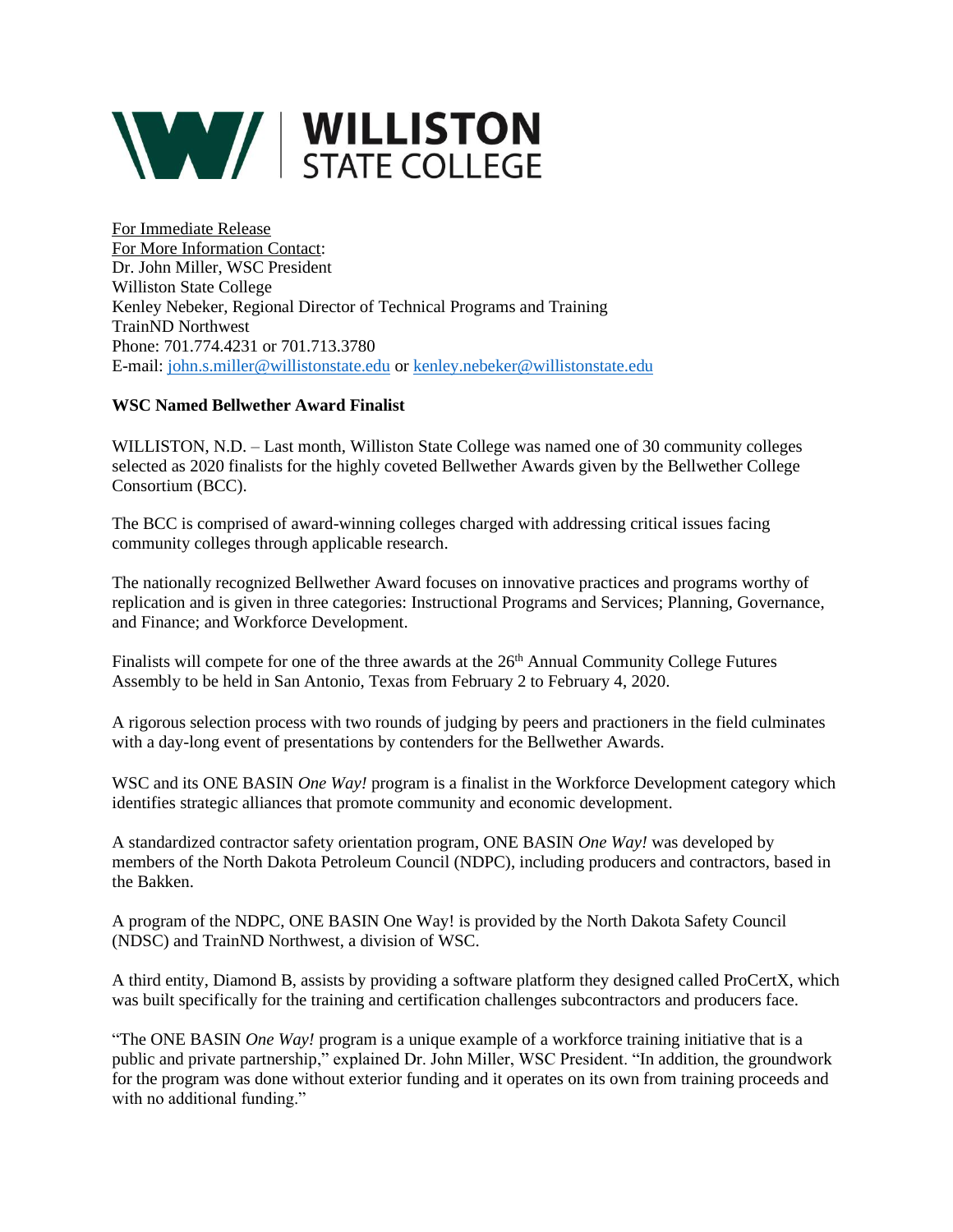

For Immediate Release For More Information Contact: Dr. John Miller, WSC President Williston State College Kenley Nebeker, Regional Director of Technical Programs and Training TrainND Northwest Phone: 701.774.4231 or 701.713.3780 E-mail[: john.s.miller@willistonstate.edu](mailto:john.s.miller@willistonstate.edu) or [kenley.nebeker@willistonstate.edu](mailto:kenley.nebeker@willistonstate.edu)

## **WSC Named Bellwether Award Finalist**

WILLISTON, N.D. – Last month, Williston State College was named one of 30 community colleges selected as 2020 finalists for the highly coveted Bellwether Awards given by the Bellwether College Consortium (BCC).

The BCC is comprised of award-winning colleges charged with addressing critical issues facing community colleges through applicable research.

The nationally recognized Bellwether Award focuses on innovative practices and programs worthy of replication and is given in three categories: Instructional Programs and Services; Planning, Governance, and Finance; and Workforce Development.

Finalists will compete for one of the three awards at the 26<sup>th</sup> Annual Community College Futures Assembly to be held in San Antonio, Texas from February 2 to February 4, 2020.

A rigorous selection process with two rounds of judging by peers and practioners in the field culminates with a day-long event of presentations by contenders for the Bellwether Awards.

WSC and its ONE BASIN *One Way!* program is a finalist in the Workforce Development category which identifies strategic alliances that promote community and economic development.

A standardized contractor safety orientation program, ONE BASIN *One Way!* was developed by members of the North Dakota Petroleum Council (NDPC), including producers and contractors, based in the Bakken.

A program of the NDPC, ONE BASIN One Way! is provided by the North Dakota Safety Council (NDSC) and TrainND Northwest, a division of WSC.

A third entity, Diamond B, assists by providing a software platform they designed called ProCertX, which was built specifically for the training and certification challenges subcontractors and producers face.

"The ONE BASIN *One Way!* program is a unique example of a workforce training initiative that is a public and private partnership," explained Dr. John Miller, WSC President. "In addition, the groundwork for the program was done without exterior funding and it operates on its own from training proceeds and with no additional funding."